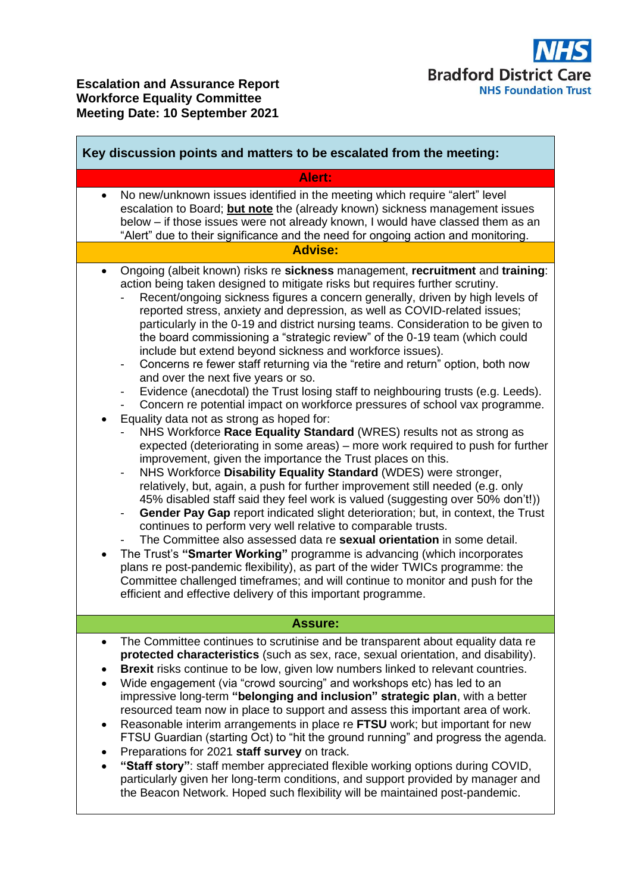| Key discussion points and matters to be escalated from the meeting: |                                                                                                                                                                                                                                                                                                                                                                                                                                                                                                                                                                                                                                                                                                                                                                                                                                                                                                                                                                                                                                                                                                                                                                                                                                                                                                                                                                                                                                                                                                                                                                                                                                                                                                                                                                                                                                                                                                                                |
|---------------------------------------------------------------------|--------------------------------------------------------------------------------------------------------------------------------------------------------------------------------------------------------------------------------------------------------------------------------------------------------------------------------------------------------------------------------------------------------------------------------------------------------------------------------------------------------------------------------------------------------------------------------------------------------------------------------------------------------------------------------------------------------------------------------------------------------------------------------------------------------------------------------------------------------------------------------------------------------------------------------------------------------------------------------------------------------------------------------------------------------------------------------------------------------------------------------------------------------------------------------------------------------------------------------------------------------------------------------------------------------------------------------------------------------------------------------------------------------------------------------------------------------------------------------------------------------------------------------------------------------------------------------------------------------------------------------------------------------------------------------------------------------------------------------------------------------------------------------------------------------------------------------------------------------------------------------------------------------------------------------|
|                                                                     | Alert:                                                                                                                                                                                                                                                                                                                                                                                                                                                                                                                                                                                                                                                                                                                                                                                                                                                                                                                                                                                                                                                                                                                                                                                                                                                                                                                                                                                                                                                                                                                                                                                                                                                                                                                                                                                                                                                                                                                         |
| $\bullet$                                                           | No new/unknown issues identified in the meeting which require "alert" level<br>escalation to Board; but note the (already known) sickness management issues<br>below - if those issues were not already known, I would have classed them as an<br>"Alert" due to their significance and the need for ongoing action and monitoring.                                                                                                                                                                                                                                                                                                                                                                                                                                                                                                                                                                                                                                                                                                                                                                                                                                                                                                                                                                                                                                                                                                                                                                                                                                                                                                                                                                                                                                                                                                                                                                                            |
| <b>Advise:</b>                                                      |                                                                                                                                                                                                                                                                                                                                                                                                                                                                                                                                                                                                                                                                                                                                                                                                                                                                                                                                                                                                                                                                                                                                                                                                                                                                                                                                                                                                                                                                                                                                                                                                                                                                                                                                                                                                                                                                                                                                |
| $\bullet$<br>-<br>$\bullet$                                         | Ongoing (albeit known) risks re sickness management, recruitment and training:<br>action being taken designed to mitigate risks but requires further scrutiny.<br>Recent/ongoing sickness figures a concern generally, driven by high levels of<br>reported stress, anxiety and depression, as well as COVID-related issues;<br>particularly in the 0-19 and district nursing teams. Consideration to be given to<br>the board commissioning a "strategic review" of the 0-19 team (which could<br>include but extend beyond sickness and workforce issues).<br>Concerns re fewer staff returning via the "retire and return" option, both now<br>and over the next five years or so.<br>Evidence (anecdotal) the Trust losing staff to neighbouring trusts (e.g. Leeds).<br>Concern re potential impact on workforce pressures of school vax programme.<br>Equality data not as strong as hoped for:<br>NHS Workforce Race Equality Standard (WRES) results not as strong as<br>expected (deteriorating in some areas) – more work required to push for further<br>improvement, given the importance the Trust places on this.<br>NHS Workforce Disability Equality Standard (WDES) were stronger,<br>relatively, but, again, a push for further improvement still needed (e.g. only<br>45% disabled staff said they feel work is valued (suggesting over 50% don't!))<br>Gender Pay Gap report indicated slight deterioration; but, in context, the Trust<br>continues to perform very well relative to comparable trusts.<br>The Committee also assessed data re <b>sexual orientation</b> in some detail.<br>The Trust's "Smarter Working" programme is advancing (which incorporates<br>plans re post-pandemic flexibility), as part of the wider TWICs programme: the<br>Committee challenged timeframes; and will continue to monitor and push for the<br>efficient and effective delivery of this important programme. |
| <b>Assure:</b>                                                      |                                                                                                                                                                                                                                                                                                                                                                                                                                                                                                                                                                                                                                                                                                                                                                                                                                                                                                                                                                                                                                                                                                                                                                                                                                                                                                                                                                                                                                                                                                                                                                                                                                                                                                                                                                                                                                                                                                                                |
| $\bullet$                                                           | The Committee continues to scrutinise and be transparent about equality data re<br>protected characteristics (such as sex, race, sexual orientation, and disability).<br>Brexit risks continue to be low, given low numbers linked to relevant countries.<br>Wide engagement (via "crowd sourcing" and workshops etc) has led to an<br>impressive long-term "belonging and inclusion" strategic plan, with a better<br>resourced team now in place to support and assess this important area of work.<br>Reasonable interim arrangements in place re FTSU work; but important for new<br>FTSU Guardian (starting Oct) to "hit the ground running" and progress the agenda.<br>Preparations for 2021 staff survey on track.<br>"Staff story": staff member appreciated flexible working options during COVID,<br>particularly given her long-term conditions, and support provided by manager and<br>the Beacon Network. Hoped such flexibility will be maintained post-pandemic.                                                                                                                                                                                                                                                                                                                                                                                                                                                                                                                                                                                                                                                                                                                                                                                                                                                                                                                                               |